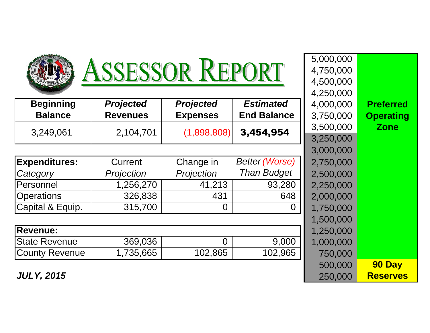| ASSESSOR REPORT       | 5,000,000<br>4,750,000<br>4,500,000 |                  |                       |           |                  |
|-----------------------|-------------------------------------|------------------|-----------------------|-----------|------------------|
|                       |                                     |                  |                       | 4,250,000 |                  |
| <b>Beginning</b>      | <b>Projected</b>                    | <b>Projected</b> | <b>Estimated</b>      | 4,000,000 | <b>Preferred</b> |
| <b>Balance</b>        | <b>Revenues</b>                     | <b>Expenses</b>  | <b>End Balance</b>    | 3,750,000 | <b>Operating</b> |
|                       |                                     |                  | 3,454,954             | 3,500,000 | <b>Zone</b>      |
| 3,249,061             | 2,104,701                           | (1,898,808)      |                       | 3,250,000 |                  |
|                       |                                     |                  |                       | 3,000,000 |                  |
| <b>Expenditures:</b>  | Current                             | Change in        | <b>Better (Worse)</b> | 2,750,000 |                  |
| Category              | Projection                          | Projection       | <b>Than Budget</b>    | 2,500,000 |                  |
| Personnel             | 1,256,270                           | 41,213           | 93,280                | 2,250,000 |                  |
| <b>Operations</b>     | 326,838                             | 431              | 648                   | 2,000,000 |                  |
| Capital & Equip.      | 315,700                             | $\overline{0}$   | $\overline{0}$        | 1,750,000 |                  |
|                       |                                     |                  |                       | 1,500,000 |                  |
| <b>Revenue:</b>       |                                     |                  |                       | 1,250,000 |                  |
| <b>State Revenue</b>  | 369,036                             | $\overline{0}$   | 9,000                 | 1,000,000 |                  |
| <b>County Revenue</b> | 1,735,665                           | 102,865          | 102,965               | 750,000   |                  |
|                       |                                     |                  |                       | 500,000   | 90 Day           |
|                       |                                     |                  |                       |           |                  |

**Reserves**

**JULY, 2015** $\overline{\mathbf{5}}$  250,000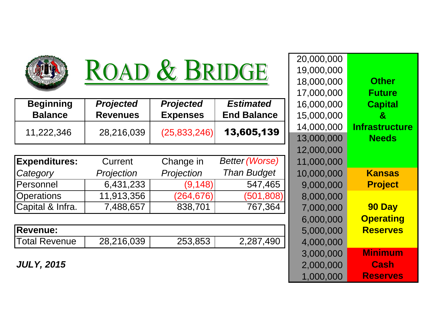

## ROAD & BRIDGE

| <b>Beginning</b> | <b>Projected</b> | <b>Projected</b> | <b>Estimated</b>   | 16,000,000 |
|------------------|------------------|------------------|--------------------|------------|
| <b>Balance</b>   | <b>Revenues</b>  | <b>Expenses</b>  | <b>End Balance</b> | 15,000,000 |
| 11,222,346       |                  | (25, 833, 246)   | 13,605,139         | 14,000,000 |
|                  | 28,216,039       |                  |                    | 13,000,000 |

| <b>Expenditures:</b> | Current    | Change in  | <b>Better (Worse)</b> | 11,000,000 |
|----------------------|------------|------------|-----------------------|------------|
| Category             | Projection | Projection | <b>Than Budget</b>    | 10,000,000 |
| Personnel            | 6,431,233  | (9, 148)   | 547,465               | 9,000,000  |
| <b>Operations</b>    | 11,913,356 | (264, 676) | (501, 808)            | 8,000,000  |
| Capital & Infra.     | 7,488,657  | 838,701    | 767,364               | 7,000,000  |

| <b>IRevenue:</b>     |            |         |           | 000.000                      |
|----------------------|------------|---------|-----------|------------------------------|
| <b>Total Revenue</b> | 28,216,039 | 253,853 | 2.287.490 | .000<br>DOO<br>$\mathcal{L}$ |

**JULY, 2015**

|                     |                  |                  |                       | 20,000,000 |                       |
|---------------------|------------------|------------------|-----------------------|------------|-----------------------|
|                     | ROAD & BRIDGE    |                  |                       | 19,000,000 |                       |
|                     |                  |                  |                       | 18,000,000 | <b>Other</b>          |
|                     |                  |                  |                       | 17,000,000 | <b>Future</b>         |
| ng                  | <b>Projected</b> | <b>Projected</b> | <b>Estimated</b>      | 16,000,000 | <b>Capital</b>        |
| e:                  | <b>Revenues</b>  | <b>Expenses</b>  | <b>End Balance</b>    | 15,000,000 | &                     |
| 46                  |                  |                  | 13,605,139            | 14,000,000 | <b>Infrastructure</b> |
|                     | 28,216,039       | (25, 833, 246)   |                       | 13,000,000 | <b>Needs</b>          |
|                     |                  |                  |                       | 12,000,000 |                       |
| res:                | Current          | Change in        | <b>Better (Worse)</b> | 11,000,000 |                       |
|                     | Projection       | Projection       | <b>Than Budget</b>    | 10,000,000 | <b>Kansas</b>         |
|                     | 6,431,233        | (9, 148)         | 547,465               | 9,000,000  | <b>Project</b>        |
|                     | 11,913,356       | (264, 676)       | (501, 808)            | 8,000,000  |                       |
| $\overline{1}$ fra. | 7,488,657        | 838,701          | 767,364               | 7,000,000  | 90 Day                |
|                     |                  |                  |                       | 6,000,000  | <b>Operating</b>      |
|                     |                  |                  |                       | 5,000,000  | <b>Reserves</b>       |
| nue                 | 28,216,039       | 253,853          | $\sqrt{2}$ , 287, 490 | 4,000,000  |                       |
|                     |                  |                  |                       | 3,000,000  | <b>Minimum</b>        |
| 5                   |                  |                  |                       | 2,000,000  | <b>Cash</b>           |
|                     |                  |                  |                       | 1,000,000  | <b>Reserves</b>       |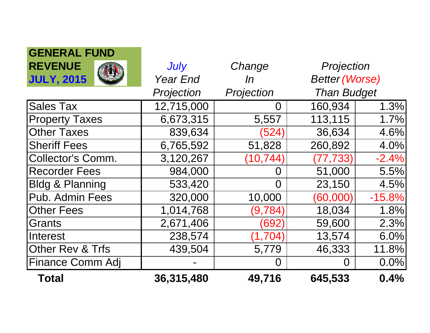| <b>GENERAL FUND</b>        |                 |            |                       |          |
|----------------------------|-----------------|------------|-----------------------|----------|
| <b>REVENUE</b>             | July            | Change     | Projection            |          |
| <b>JULY, 2015</b>          | <b>Year End</b> | ln         | <b>Better (Worse)</b> |          |
|                            | Projection      | Projection | <b>Than Budget</b>    |          |
| <b>Sales Tax</b>           | 12,715,000      | O          | 160,934               | 1.3%     |
| <b>Property Taxes</b>      | 6,673,315       | 5,557      | 113,115               | 1.7%     |
| <b>Other Taxes</b>         | 839,634         | (524)      | 36,634                | 4.6%     |
| <b>Sheriff Fees</b>        | 6,765,592       | 51,828     | 260,892               | 4.0%     |
| <b>Collector's Comm.</b>   | 3,120,267       | (10, 744)  | (77, 733)             | $-2.4%$  |
| <b>Recorder Fees</b>       | 984,000         | O          | 51,000                | 5.5%     |
| <b>Bldg &amp; Planning</b> | 533,420         | $\Omega$   | 23,150                | 4.5%     |
| Pub. Admin Fees            | 320,000         | 10,000     | (60,000)              | $-15.8%$ |
| <b>Other Fees</b>          | 1,014,768       | (9,784)    | 18,034                | 1.8%     |
| <b>Grants</b>              | 2,671,406       | (692)      | 59,600                | 2.3%     |
| Interest                   | 238,574         | (1,704)    | 13,574                | 6.0%     |
| Other Rev & Trfs           | 439,504         | 5,779      | 46,333                | 11.8%    |
| <b>Finance Comm Adj</b>    |                 | O          |                       | 0.0%     |
| <b>Total</b>               | 36,315,480      | 49,716     | 645,533               | 0.4%     |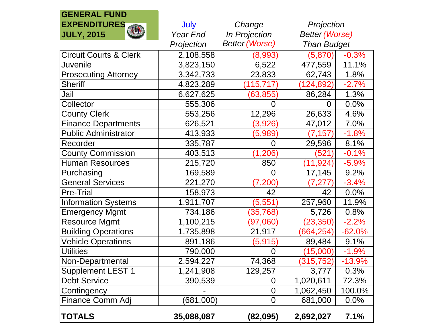## **GENERAL FUND EXPENDITURESJULY, 2015**

| <b>EXPENDITURES</b>               | July       | Change                | Projection            |          |
|-----------------------------------|------------|-----------------------|-----------------------|----------|
| 似味<br><b>JULY, 2015</b>           | Year End   | In Projection         | <b>Better (Worse)</b> |          |
|                                   | Projection | <b>Better (Worse)</b> | <b>Than Budget</b>    |          |
| <b>Circuit Courts &amp; Clerk</b> | 2,108,558  | (8,993)               | (5,870)               | $-0.3%$  |
| Juvenile                          | 3,823,150  | 6,522                 | 477,559               | 11.1%    |
| <b>Prosecuting Attorney</b>       | 3,342,733  | 23,833                | 62,743                | 1.8%     |
| <b>Sheriff</b>                    | 4,823,289  | (115, 717)            | (124, 892)            | $-2.7%$  |
| Jail                              | 6,627,625  | (63, 855)             | 86,284                | 1.3%     |
| Collector                         | 555,306    | 0                     | 0                     | 0.0%     |
| <b>County Clerk</b>               | 553,256    | 12,296                | 26,633                | 4.6%     |
| <b>Finance Departments</b>        | 626,521    | (3,926)               | 47,012                | 7.0%     |
| <b>Public Administrator</b>       | 413,933    | (5,989)               | (7, 157)              | $-1.8%$  |
| Recorder                          | 335,787    | 0                     | 29,596                | 8.1%     |
| <b>County Commission</b>          | 403,513    | (1, 206)              | (521)                 | $-0.1%$  |
| <b>Human Resources</b>            | 215,720    | 850                   | (11, 924)             | $-5.9%$  |
| Purchasing                        | 169,589    | $\overline{0}$        | 17,145                | 9.2%     |
| <b>General Services</b>           | 221,270    | (7,200)               | (7, 277)              | $-3.4%$  |
| <b>Pre-Trial</b>                  | 158,973    | 42                    | 42                    | 0.0%     |
| <b>Information Systems</b>        | 1,911,707  | (5, 551)              | 257,960               | 11.9%    |
| <b>Emergency Mgmt</b>             | 734,186    | (35, 768)             | 5,726                 | 0.8%     |
| <b>Resource Mgmt</b>              | 1,100,215  | (97,060)              | (23, 350)             | $-2.2%$  |
| <b>Building Operations</b>        | 1,735,898  | 21,917                | (664, 254)            | $-62.0%$ |
| <b>Vehicle Operations</b>         | 891,186    | (5, 915)              | 89,484                | 9.1%     |
| <b>Utilities</b>                  | 790,000    | 0                     | (15,000)              | $-1.9%$  |
| Non-Departmental                  | 2,594,227  | 74,368                | (315, 752)            | $-13.9%$ |
| <b>Supplement LEST 1</b>          | 1,241,908  | 129,257               | 3,777                 | 0.3%     |
| <b>Debt Service</b>               | 390,539    | 0                     | 1,020,611             | 72.3%    |
| Contingency                       |            | $\overline{0}$        | 1,062,450             | 100.0%   |
| <b>Finance Comm Adj</b>           | (681,000)  | $\overline{0}$        | 681,000               | 0.0%     |
| <b>TOTALS</b>                     | 35,088,087 | (82, 095)             | 2,692,027             | 7.1%     |